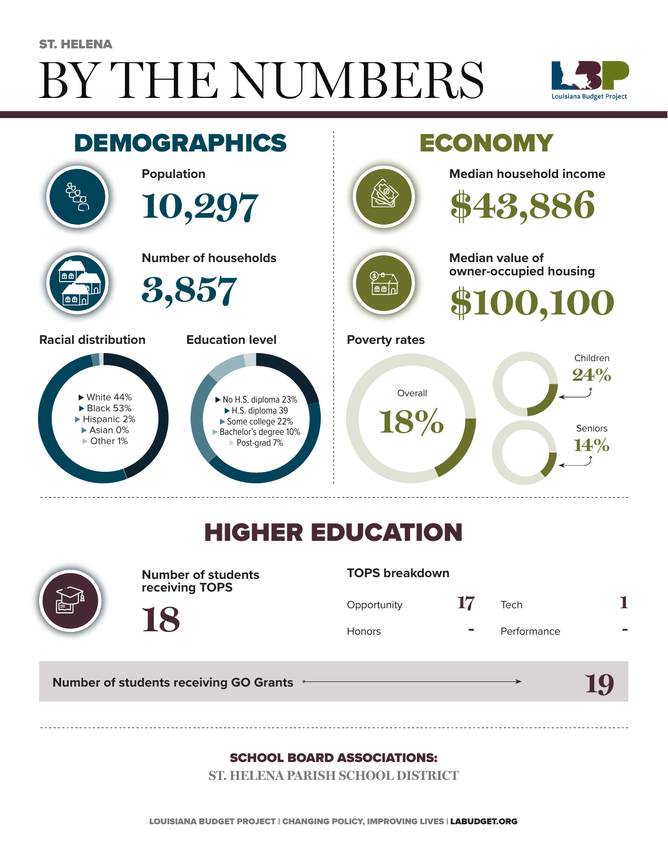# BY THE NUMBERS ST. HELENA





## HIGHER EDUCATION



**Number of students receiving TOPS**

#### **TOPS breakdown**

| Opportunity   | 17 | Tech        |  |
|---------------|----|-------------|--|
| <b>Honors</b> |    | Performance |  |

**19**

**Number of students receiving GO Grants**

**18**

#### SCHOOL BOARD ASSOCIATIONS:

**ST. HELENA PARISH SCHOOL DISTRICT**